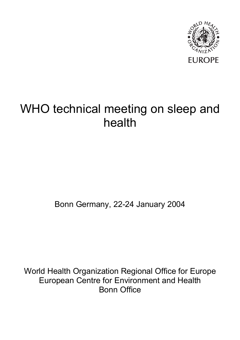

# WHO technical meeting on sleep and health

Bonn Germany, 22-24 January 2004

World Health Organization Regional Office for Europe European Centre for Environment and Health Bonn Office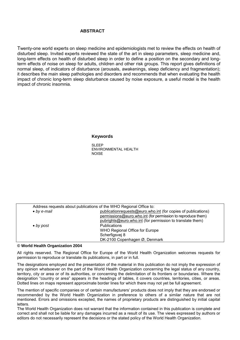#### **ABSTRACT**

Twenty-one world experts on sleep medicine and epidemiologists met to review the effects on health of disturbed sleep. Invited experts reviewed the state of the art in sleep parameters, sleep medicine and, long-term effects on health of disturbed sleep in order to define a position on the secondary and longterm effects of noise on sleep for adults, children and other risk groups. This report gives definitions of normal sleep, of indicators of disturbance (arousals, awakenings, sleep deficiency and fragmentation); it describes the main sleep pathologies and disorders and recommends that when evaluating the health impact of chronic long-term sleep disturbance caused by noise exposure, a useful model is the health impact of chronic insomnia.

#### **Keywords**

SLEEP ENVIRONMENTAL HEALTH NOISE

|                     | Address requests about publications of the WHO Regional Office to: |
|---------------------|--------------------------------------------------------------------|
| $\bullet$ by e-mail | publication requests@euro.who.int (for copies of publications)     |
|                     | permissions@euro.who.int (for permission to reproduce them)        |
|                     | pubrights@euro.who.int (for permission to translate them)          |
| $\bullet$ by post   | <b>Publications</b>                                                |
|                     | WHO Regional Office for Europe                                     |
|                     | Scherfigsvej 8                                                     |
|                     | DK-2100 Copenhagen Ø, Denmark                                      |

#### **© World Health Organization 2004**

All rights reserved. The Regional Office for Europe of the World Health Organization welcomes requests for permission to reproduce or translate its publications, in part or in full.

The designations employed and the presentation of the material in this publication do not imply the expression of any opinion whatsoever on the part of the World Health Organization concerning the legal status of any country, territory, city or area or of its authorities, or concerning the delimitation of its frontiers or boundaries. Where the designation "country or area" appears in the headings of tables, it covers countries, territories, cities, or areas. Dotted lines on maps represent approximate border lines for which there may not yet be full agreement.

The mention of specific companies or of certain manufacturers' products does not imply that they are endorsed or recommended by the World Health Organization in preference to others of a similar nature that are not mentioned. Errors and omissions excepted, the names of proprietary products are distinguished by initial capital letters.

The World Health Organization does not warrant that the information contained in this publication is complete and correct and shall not be liable for any damages incurred as a result of its use. The views expressed by authors or editors do not necessarily represent the decisions or the stated policy of the World Health Organization.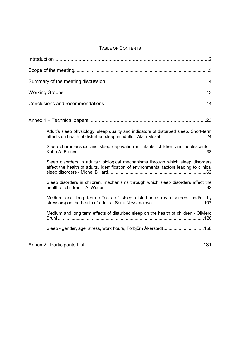## TABLE OF CONTENTS

| Adult's sleep physiology, sleep quality and indicators of disturbed sleep. Short-term                                                                                      |
|----------------------------------------------------------------------------------------------------------------------------------------------------------------------------|
| Sleep characteristics and sleep deprivation in infants, children and adolescents -                                                                                         |
| Sleep disorders in adults; biological mechanisms through which sleep disorders<br>affect the health of adults. Identification of environmental factors leading to clinical |
| Sleep disorders in children, mechanisms through which sleep disorders affect the                                                                                           |
| Medium and long term effects of sleep disturbance (by disorders and/or by                                                                                                  |
| Medium and long term effects of disturbed sleep on the health of children - Oliviero                                                                                       |
| Sleep - gender, age, stress, work hours, Torbjörn Åkerstedt156                                                                                                             |
|                                                                                                                                                                            |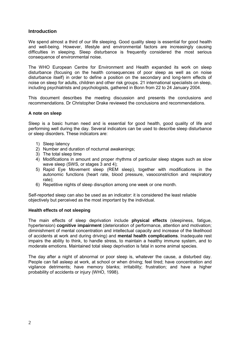## <span id="page-3-0"></span>**Introduction**

We spend almost a third of our life sleeping. Good quality sleep is essential for good health and well-being. However, lifestyle and environmental factors are increasingly causing difficulties in sleeping. Sleep disturbance is frequently considered the most serious consequence of environmental noise.

The WHO European Centre for Environment and Health expanded its work on sleep disturbance (focusing on the health consequences of poor sleep as well as on noise disturbance itself) in order to define a position on the secondary and long-term effects of noise on sleep for adults, children and other risk groups. 21 international specialists on sleep, including psychiatrists and psychologists, gathered in Bonn from 22 to 24 January 2004.

This document describes the meeting discussion and presents the conclusions and recommendations. Dr Christopher Drake reviewed the conclusions and recommendations.

#### **A note on sleep**

Sleep is a basic human need and is essential for good health, good quality of life and performing well during the day. Several indicators can be used to describe sleep disturbance or sleep disorders. These indicators are:

- 1) Sleep latency
- 2) Number and duration of nocturnal awakenings;
- 3) The total sleep time
- 4) Modifications in amount and proper rhythms of particular sleep stages such as slow wave sleep (SWS, or stages 3 and 4);
- 5) Rapid Eye Movement sleep (REM sleep), together with modifications in the autonomic functions (heart rate, blood pressure, vasoconstriction and respiratory rate);
- 6) Repetitive nights of sleep disruption among one week or one month.

Self-reported sleep can also be used as an indicator: it is considered the least reliable objectively but perceived as the most important by the individual.

#### **Health effects of not sleeping**

The main effects of sleep deprivation include **physical effects** (sleepiness, fatigue, hypertension) **cognitive impairment** (deterioration of performance, attention and motivation; diminishment of mental concentration and intellectual capacity and increase of the likelihood of accidents at work and during driving) and **mental health complications**. Inadequate rest impairs the ability to think, to handle stress, to maintain a healthy immune system, and to moderate emotions. Maintained total sleep deprivation is fatal in some animal species.

The day after a night of abnormal or poor sleep is, whatever the cause, a disturbed day. People can fall asleep at work, at school or when driving; feel tired; have concentration and vigilance detriments; have memory blanks; irritability; frustration; and have a higher probability of accidents or injury (WHO, 1998).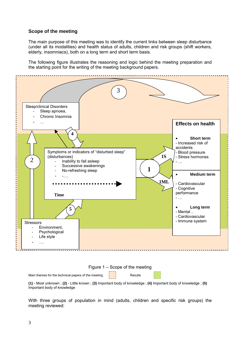## <span id="page-4-0"></span>**Scope of the meeting**

The main purpose of this meeting was to identify the current links between sleep disturbance (under all its modalities) and health status of adults, children and risk groups (shift workers, elderly, insomniacs), both on a long term and short term basis.

The following figure illustrates the reasoning and logic behind the meeting preparation and the starting point for the writing of the meeting background papers.





Main themes for the technical papers of the meeting  $\frac{1}{2}$  Results

**(1)** - Most unknown ; **(2)** - Little known ; **(3)** Important body of knowledge ; **(4)** Important body of knowledge ; **(5)** Important body of knowledge

With three groups of population in mind (adults, children and specific risk groups) the meeting reviewed: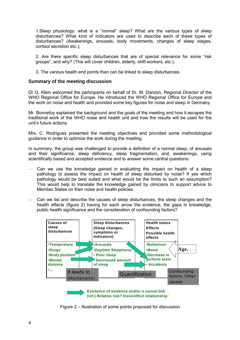<span id="page-5-0"></span>1.Sleep physiology: what is a "normal" sleep? What are the various types of sleep disturbances? What kind of indicators are used to describe each of these types of disturbances? (Awakenings, arousals, body movements, changes of sleep stages, cortisol secretion etc.);

2. Are there specific sleep disturbances that are of special relevance for some "risk groups", and why? (This will cover children, elderly, shift workers, etc.).

3. The various health end points than can be linked to sleep disturbances.

#### **Summary of the meeting discussion**

Dr G. Klein welcomed the participants on behalf of Dr. M. Danzon, Regional Director of the WHO Regional Office for Europe. He introduced the WHO Regional Office for Europe and the work on noise and health and provided some key figures for noise and sleep in Germany.

Mr. Bonnefoy explained the background and the goals of the meeting and how it escapes the traditional work of the WHO noise and health unit and how the results will be used for the unit's future actions.

Mrs. C. Rodrigues presented the meeting objectives and provided some methodological guidance in order to optimize the work during the meeting.

In summary, the group was challenged to provide a definition of a normal sleep, of arousals and their significance, sleep deficiency, sleep fragmentation, and, awakenings, using scientifically based and accepted evidence and to answer some central questions:

- Can we use the knowledge gained in evaluating the impact on health of a sleep pathology to assess the impact on health of sleep disturbed by noise? If yes which pathology would be best suited and what would be the limits to such an assumption? This would help to translate the knowledge gained by clinicians to support advice to Member States on their noise and health policies.
- Can we list and describe the causes of sleep disturbances, the sleep changes and the health effects (figure 2) having for each arrow the evidence, the gaps in knowledge, public health significance and the consideration of confounding factors?



**Existence of evidence and/or a causal link (ref.) Relative risk? Dose/effect relationship**?

Figure 2 – Illustration of some points proposed for discussion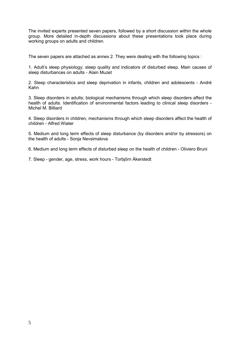The invited experts presented seven papers, followed by a short discussion within the whole group. More detailed in-depth discussions about these presentations took place during working groups on adults and children.

The seven papers are attached as annex 2. They were dealing with the following topics :

1. Adult's sleep physiology; sleep quality and indicators of disturbed sleep. Main causes of sleep disturbances on adults - Alain Muzet

2. Sleep characteristics and sleep deprivation in infants, children and adolescents - André Kahn

3. Sleep disorders in adults; biological mechanisms through which sleep disorders affect the health of adults. Identification of environmental factors leading to clinical sleep disorders - Michel M. Billiard

4. Sleep disorders in children, mechanisms through which sleep disorders affect the health of children - Alfred Wiater

5. Medium and long term effects of sleep disturbance (by disorders and/or by stressors) on the health of adults - Sonja Nevsimalova

6. Medium and long term effects of disturbed sleep on the health of children - Oliviero Bruni

7. Sleep - gender, age, stress, work hours - Torbjörn Åkerstedt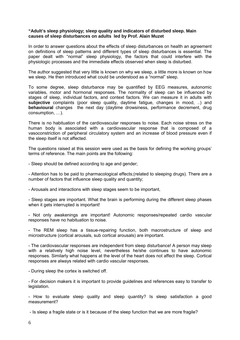#### **"Adult's sleep physiology; sleep quality and indicators of disturbed sleep. Main causes of sleep disturbances on adults led by Prof. Alain Muzet**

In order to answer questions about the effects of sleep disturbances on health an agreement on definitions of sleep patterns and different types of sleep disturbances is essential. The paper dealt with "normal" sleep physiology, the factors that could interfere with the physiologic processes and the immediate effects observed when sleep is disturbed.

The author suggested that very little is known on why we sleep, a little more is known on how we sleep. He then introduced what could be understood as a "normal" sleep.

To some degree, sleep disturbance may be quantified by EEG measures, autonomic variables, motor and hormonal responses. The normality of sleep can be influenced by stages of sleep, individual factors, and context factors. We can measure it in adults with **subjective** complaints (poor sleep quality, daytime fatigue, changes in mood, ..) and **behavioural** changes the next day (daytime drowsiness, performance decrement, drug consumption, …).

There is no habituation of the cardiovascular responses to noise. Each noise stress on the human body is associated with a cardiovascular response that is composed of a vasoconstriction of peripheral circulatory system and an increase of blood pressure even if the sleep itself is not affected.

The questions raised at this session were used as the basis for defining the working groups' terms of reference. The main points are the following:

- Sleep should be defined according to age and gender;

- Attention has to be paid to pharmacological effects;(related to sleeping drugs). There are a number of factors that influence sleep quality and quantity;

- Arousals and interactions with sleep stages seem to be important,

- Sleep stages are important. What the brain is performing during the different sleep phases when it gets interrupted is important!

- Not only awakenings are important! Autonomic responses/repeated cardio vascular responses have no habituation to noise.

- The REM sleep has a tissue-repairing function, both macrostructure of sleep and microstructure (cortical arousals, sub cortical arousals) are important.

- The cardiovascular responses are independent from sleep disturbance! A person may sleep with a relatively high noise level, nevertheless he/she continues to have autonomic responses. Similarly what happens at the level of the heart does not affect the sleep. Cortical responses are always related with cardio vascular responses.

- During sleep the cortex is switched off.

- For decision makers it is important to provide guidelines and references easy to transfer to legislation.

- How to evaluate sleep quality and sleep quantity? Is sleep satisfaction a good measurement?

- Is sleep a fragile state or is it because of the sleep function that we are more fragile?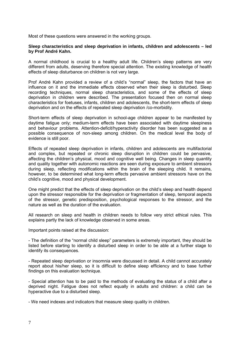Most of these questions were answered in the working groups.

#### **Sleep characteristics and sleep deprivation in infants, children and adolescents – led by Prof André Kahn.**

A normal childhood is crucial to a healthy adult life. Children's sleep patterns are very different from adults, deserving therefore special attention. The existing knowledge of health effects of sleep disturbance on children is not very large.

Prof André Kahn provided a review of a child's "normal" sleep, the factors that have an influence on it and the immediate effects observed when their sleep is disturbed. Sleep recording techniques, normal sleep characteristics, and some of the effects of sleep deprivation in children were described. The presentation focused then on normal sleep characteristics for foetuses, infants, children and adolescents, the short-term effects of sleep deprivation and on the effects of repeated sleep deprivation /co-morbidity.

Short-term effects of sleep deprivation in school-age children appear to be manifested by daytime fatigue only; medium-term effects have been associated with daytime sleepiness and behaviour problems. Attention-deficit/hyperactivity disorder has been suggested as a possible consequence of non-sleep among children. On the medical level the body of evidence is still poor.

Effects of repeated sleep deprivation in infants, children and adolescents are multifactorial and complex, but repeated or chronic sleep disruption in children could be pervasive, affecting the children's physical, mood and cognitive well being. Changes in sleep quantity and quality together with autonomic reactions are seen during exposure to ambient stressors during sleep, reflecting modifications within the brain of the sleeping child. It remains, however, to be determined what long-term effects pervasive ambient stressors have on the child's cognitive, mood and physical development.

One might predict that the effects of sleep deprivation on the child's sleep and health depend upon the stressor responsible for the deprivation or fragmentation of sleep, temporal aspects of the stressor, genetic predisposition, psychological responses to the stressor, and the nature as well as the duration of the evaluation.

All research on sleep and health in children needs to follow very strict ethical rules. This explains partly the lack of knowledge observed in some areas.

Important points raised at the discussion:

- The definition of the "normal child sleep" parameters is extremely important, they should be listed before starting to identify a disturbed sleep in order to be able at a further stage to identify its consequences.

- Repeated sleep deprivation or insomnia were discussed in detail. A child cannot accurately report about his/her sleep, so it is difficult to define sleep efficiency and to base further findings on this evaluation technique.

- Special attention has to be paid to the methods of evaluating the status of a child after a deprived night. Fatigue does not reflect equally in adults and children: a child can be hyperactive due to a disturbed sleep.

- We need indexes and indicators that measure sleep quality in children.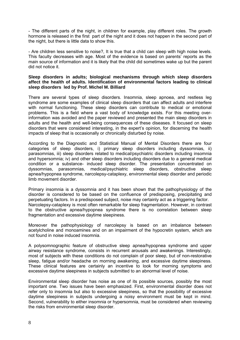- The different parts of the night, in children for example, play different roles. The growth hormone is released in the first part of the night and it does not happen in the second part of the night, but there is little data to show this.

- Are children less sensitive to noise?, It is true that a child can sleep with high noise levels. This faculty decreases with age. Most of the evidence is based on parents' reports as the main source of information and it is likely that the child did sometimes wake up but the parent did not notice it.

#### **Sleep disorders in adults; biological mechanisms through which sleep disorders affect the health of adults. Identification of environmental factors leading to clinical sleep disorders led by Prof. Michel M. Billiard**

There are several types of sleep disorders. Insomnia, sleep apnoea, and restless leg syndrome are some examples of clinical sleep disorders that can affect adults and interfere with normal functioning. These sleep disorders can contribute to medical or emotional problems. This is a field where a vast body of knowledge exists. For this meeting overinformation was avoided and the paper reviewed and presented the main sleep disorders in adults and the health and well-being consequences of these diseases. It focused on sleep disorders that were considered interesting, in the expert's opinion, for discerning the health impacts of sleep that is occasionally or chronically disturbed by noise.

According to the Diagnostic and Statistical Manual of Mental Disorders there are four categories of sleep disorders, i) primary sleep disorders including dyssomnias, ii) parasomnias, iii) sleep disorders related to medical/psychiatric disorders including insomnia and hypersomnia; iv) and other sleep disorders including disorders due to a general medical condition or a substance- induced sleep disorder. The presentation concentrated on dyssomnias, parasomnias, medical/psychiatric sleep disorders, obstructive sleep apnea/hypopnea syndrome, narcolepsy-cataplexy, environmental sleep disorder and periodic limb movement disorder.

Primary insomnia is a dyssomnia and it has been shown that the pathophysiology of the disorder is considered to be based on the confluence of predisposing, precipitating and perpetuating factors. In a predisposed subject, noise may certainly act as a triggering factor. Narcolepsy-cataplexy is most often remarkable for sleep fragmentation. However, in contrast to the obstructive apnea/hypopnea syndrome there is no correlation between sleep fragmentation and excessive daytime sleepiness.

Moreover the pathophysiology of narcolepsy is based on an imbalance between acetylcholine and monoamines and on an impairment of the hypocretin system, which are not found in noise induced insomnia.

A polysomnographic feature of obstructive sleep apnea/hypopnea syndrome and upper airway resistance syndrome, consists in recurrent arousals and awakenings. Interestingly, most of subjects with these conditions do not complain of poor sleep, but of non-restorative sleep, fatigue and/or headache on morning awakening, and excessive daytime sleepiness. These clinical features are certainly an incentive to look for morning symptoms and excessive daytime sleepiness in subjects submitted to an abnormal level of noise.

Environmental sleep disorder has noise as one of its possible sources, possibly the most important one. Two issues have been emphasized. First, environmental disorder does not refer only to insomnia but also to excessive sleepiness, so that the possibility of excessive daytime sleepiness in subjects undergoing a noisy environment must be kept in mind. Second, vulnerability to either insomnia or hypersomnia, must be considered when reviewing the risks from environmental sleep disorder.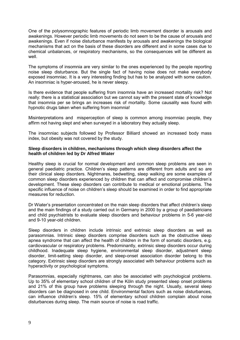One of the polysomnographic features of periodic limb movement disorder is arousals and awakenings. However periodic limb movements do not seem to be the cause of arousals and awakenings. Even if noise disturbance manifests by arousals and awakenings the biological mechanisms that act on the basis of these disorders are different and in some cases due to chemical unbalances, or respiratory mechanisms, so the consequences will be different as well.

The symptoms of insomnia are very similar to the ones experienced by the people reporting noise sleep disturbance. But the single fact of having noise does not make everybody exposed insomniac. It is a very interesting finding but has to be analyzed with some caution. An insomniac is hyper-aroused, he is never sleepy.

Is there evidence that people suffering from insomnia have an increased mortality risk? Not really: there is a statistical association but we cannot say with the present state of knowledge that insomnia per se brings an increases risk of mortality. Some causality was found with hypnotic drugs taken when suffering from insomnia!

Misinterpretations and misperception of sleep is common among insomniac people, they affirm not having slept and when surveyed in a laboratory they actually sleep.

The insomniac subjects followed by Professor Billiard showed an increased body mass index, but obesity was not covered by the study.

#### **Sleep disorders in children, mechanisms through which sleep disorders affect the health of children led by Dr Alfred Wiater**

Healthy sleep is crucial for normal development and common sleep problems are seen in general paediatric practice. Children's sleep patterns are different from adults and so are their clinical sleep disorders. Nightmares, bedwetting, sleep walking are some examples of common sleep disorders experienced by children that can affect and compromise children's development. These sleep disorders can contribute to medical or emotional problems. The specific influence of noise on children's sleep should be examined in order to find appropriate measures for reduction.

Dr Wiater's presentation concentrated on the main sleep disorders that affect children's sleep and the main findings of a study carried out in Germany in 2000 by a group of paediatricians and child psychiatrists to evaluate sleep disorders and behaviour problems in 5-6 year-old and 9-10 year-old children.

Sleep disorders in children include intrinsic and extrinsic sleep disorders as well as parasomnias. Intrinsic sleep disorders comprise disorders such as the obstructive sleep apnea syndrome that can affect the health of children in the form of somatic disorders, e.g. cardiovascular or respiratory problems. Predominantly, extrinsic sleep disorders occur during childhood. Inadequate sleep hygiene, environmental sleep disorder, adjustment sleep disorder, limit-setting sleep disorder, and sleep-onset association disorder belong to this category. Extrinsic sleep disorders are strongly associated with behaviour problems such as hyperactivity or psychological symptoms.

Parasomnias, especially nightmares, can also be associated with psychological problems. Up to 35% of elementary school children of the Köln study presented sleep onset problems and 21% of this group have problems sleeping through the night. Usually, several sleep disorders can be diagnosed in one child. Environmental factors such as noise disturbances, can influence children's sleep. 15% of elementary school children complain about noise disturbances during sleep. The main source of noise is road traffic.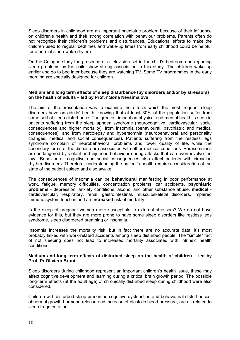Sleep disorders in childhood are an important paediatric problem because of their influence on children's health and their strong correlation with behaviour problems. Parents often do not recognize their children's problems and disturbances. Educational efforts to make the children used to regular bedtimes and wake-up times from early childhood could be helpful for a normal sleep-wake-rhythm.

On the Cologne study the presence of a television set in the child's bedroom and reporting sleep problems by the child show strong association in this study. The children wake up earlier and go to bed later because they are watching TV. Some TV programmes in the early morning are specially designed for children.

#### **Medium and long term effects of sleep disturbance (by disorders and/or by stressors) on the health of adults – led by Prof. r Sona Nevsimalova**

The aim of the presentation was to examine the effects which the most frequent sleep disorders have on adults' health, knowing that at least 30% of the population suffer from some sort of sleep disturbance. The greatest impact on physical and mental health is seen in patients suffering from the sleep apnoea syndrome (neurocognitive, cardiovascular, social consequences and higher mortality), from insomnia (behavioural, psychiatric and medical consequences), and from narcolepsy and hypersomnia (neurobehavioral and personality changes, medical and social consequences). Patients suffering from the restless legs syndrome complain of neurobehavioral problems and lower quality of life, while the secondary forms of the disease are associated with other medical conditions. Parasomniacs are endangered by violent and injurious behaviour during attacks that can even involve the law.. Behavioural, cognitive and social consequences also affect patients with circadian rhythm disorders. Therefore, understanding the patient's health requires consideration of the state of the patient asleep and also awake.

The consequences of insomnia can be **behavioural** manifesting in poor performance at work, fatigue, memory difficulties, concentration problems, car accidents, **psychiatric problems** - depression, anxiety conditions, alcohol and other substance abuse, **medical**  cardiovascular, respiratory, renal, gastrointestinal, musculoskeletal disorders, impaired immune system function and an **increased** risk of mortality.

Is the sleep of pregnant women more susceptible to external stressors? We do not have evidence for this, but they are more prone to have some sleep disorders like restless legs syndrome, sleep disordered breathing or insomnia.

Insomnia increases the mortality risk, but in fact there are no accurate data, it's most probably linked with work-related accidents among sleep disturbed people. The "simple" fact of not sleeping does not lead to increased mortality associated with intrinsic health conditions.

#### **Medium and long term effects of disturbed sleep on the health of children – led by Prof. Pr Oliviero Bruni**

Sleep disorders during childhood represent an important children's health issue, these may affect cognitive development and learning during a critical brain growth period. The possible long-term effects (at the adult age) of chronically disturbed sleep during childhood were also considered.

Children with disturbed sleep presented cognitive dysfunction and behavioural disturbances, abnormal growth hormone release and increase of diastolic blood pressure, are all related to sleep fragmentation.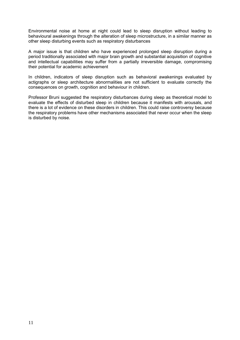Environmental noise at home at night could lead to sleep disruption without leading to behavioural awakenings through the alteration of sleep microstructure, in a similar manner as other sleep disturbing events such as respiratory disturbances

A major issue is that children who have experienced prolonged sleep disruption during a period traditionally associated with major brain growth and substantial acquisition of cognitive and intellectual capabilities may suffer from a partially irreversible damage, compromising their potential for academic achievement

In children, indicators of sleep disruption such as behavioral awakenings evaluated by actigraphs or sleep architecture abnormalities are not sufficient to evaluate correctly the consequences on growth, cognition and behaviour in children.

Professor Bruni suggested the respiratory disturbances during sleep as theoretical model to evaluate the effects of disturbed sleep in children because it manifests with arousals, and there is a lot of evidence on these disorders in children. This could raise controversy because the respiratory problems have other mechanisms associated that never occur when the sleep is disturbed by noise.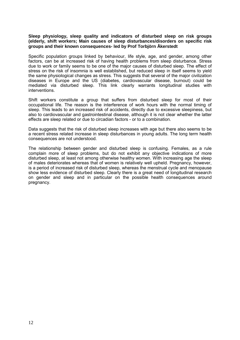#### **Sleep physiology, sleep quality and indicators of disturbed sleep on risk groups (elderly, shift workers; Main causes of sleep disturbances/disorders on specific risk groups and their known consequences- led by Prof Torbjörn Åkerstedt**

Specific population groups linked by behaviour, life style, age, and gender, among other factors, can be at increased risk of having health problems from sleep disturbance. Stress due to work or family seems to be one of the major causes of disturbed sleep. The effect of stress on the risk of insomnia is well established, but reduced sleep in itself seems to yield the same physiological changes as stress. This suggests that several of the major civilization diseases in Europe and the US (diabetes, cardiovascular disease, burnout) could be mediated via disturbed sleep. This link clearly warrants longitudinal studies with interventions.

Shift workers constitute a group that suffers from disturbed sleep for most of their occupational life. The reason is the interference of work hours with the normal timing of sleep. This leads to an increased risk of accidents, directly due to excessive sleepiness, but also to cardiovascular and gastrointestinal disease, although it is not clear whether the latter effects are sleep related or due to circadian factors - or to a combination.

Data suggests that the risk of disturbed sleep increases with age but there also seems to be a recent stress related increase in sleep disturbances in young adults. The long term health consequences are not understood.

The relationship between gender and disturbed sleep is confusing. Females, as a rule complain more of sleep problems, but do not exhibit any objective indications of more disturbed sleep, at least not among otherwise healthy women. With increasing age the sleep of males deteriorates whereas that of women is relatively well upheld. Pregnancy, however, is a period of increased risk of disturbed sleep, whereas the menstrual cycle and menopause show less evidence of disturbed sleep. Clearly there is a great need of longitudinal research on gender and sleep and in particular on the possible health consequences around pregnancy.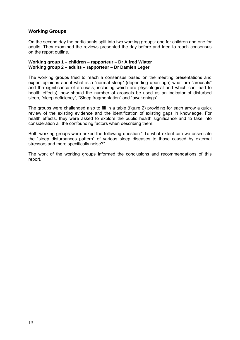## <span id="page-14-0"></span>**Working Groups**

On the second day the participants split into two working groups: one for children and one for adults. They examined the reviews presented the day before and tried to reach consensus on the report outline.

#### **Working group 1 – children – rapporteur – Dr Alfred Wiater Working group 2 – adults – rapporteur – Dr Damien Leger**

The working groups tried to reach a consensus based on the meeting presentations and expert opinions about what is a "normal sleep" (depending upon age) what are "arousals" and the significance of arousals, including which are physiological and which can lead to health effects), how should the number of arousals be used as an indicator of disturbed sleep, "sleep deficiency", "Sleep fragmentation" and "awakenings".

The groups were challenged also to fill in a table (figure 2) providing for each arrow a quick review of the existing evidence and the identification of existing gaps in knowledge. For health effects, they were asked to explore the public health significance and to take into consideration all the confounding factors when describing them:

Both working groups were asked the following question:" To what extent can we assimilate the "sleep disturbances pattern" of various sleep diseases to those caused by external stressors and more specifically noise?"

The work of the working groups informed the conclusions and recommendations of this report.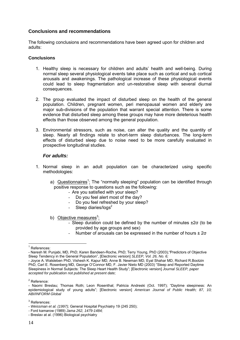## <span id="page-15-0"></span>**Conclusions and recommendations**

The following conclusions and recommendations have been agreed upon for children and adults:

#### **Conclusions**

- 1. Healthy sleep is necessary for children and adults' health and well-being. During normal sleep several physiological events take place such as cortical and sub cortical arousals and awakenings. The pathological increase of these physiological events could lead to sleep fragmentation and un-restorative sleep with several diurnal consequences.
- 2. The group evaluated the impact of disturbed sleep on the health of the general population. Children, pregnant women, peri menopausal women and elderly are major sub-divisions of the population that warrant special attention. There is some evidence that disturbed sleep among these groups may have more deleterious health effects than those observed among the general population.
- 3. Environmental stressors, such as noise, can alter the quality and the quantity of sleep. Nearly all findings relate to short-term sleep disturbances. The long-term effects of disturbed sleep due to noise need to be more carefully evaluated in prospective longitudinal studies.

## *For adults:*

- 1. Normal sleep in an adult population can be characterized using specific methodologies:
	- a) Questionnaires<sup>[1](#page-15-1)</sup>: The "normally sleeping" population can be identified through positive response to questions such as the following:
		- Are you satisfied with your sleep?
		- Do you feel alert most of the day?
		- Do you feel refreshed by your sleep?
		- Sleep diaries/ $log s<sup>2</sup>$  $log s<sup>2</sup>$  $log s<sup>2</sup>$
	- b) Objective measures<sup>[3](#page-15-3)</sup>:
		- Sleep duration could be defined by the number of minutes ±2σ (to be provided by age groups and sex)
		- Number of arousals can be expressed in the number of hours  $\pm 2\sigma$

 $\overline{a}$ <sup>1</sup> References:

<span id="page-15-1"></span><sup>-</sup> Naresh M. Punjabi, MD, PhD; Karen Bandeen-Roche, PhD; Terry Young, PhD (2003)*;"*Predictors of Objective Sleep Tendency in the General Population", [Electronic version] *SLEEP, Vol. 26, No. 6;*

<sup>-</sup> Joyce A. Walsleben PhD, Vishesh K. Kapur MD, Anne B. Newman MD, Eyal Shahar MD, Richard R.Bootzin PhD, Carl E. Rosenberg MD, George O'Connor MD, F. Javier Nieto MD (2003) "Sleep and Reported Daytime Sleepiness in Normal Subjects: The Sleep Heart Health Study"; [Electronic version] *Journal SLEEP, paper accepted for publication not published at present date;* 

<span id="page-15-2"></span><sup>&</sup>lt;sup>2</sup> Reference:

<sup>-</sup> Naomi Breslau; Thomas Roth; Leon Rosenthal; Patricia Andreski (Oct. 1997); "Daytime sleepiness: An epidemiological study of young adults"; [Electronic version] *American Journal of Public Health; 87, 10; ABI/INFORM Global* 

<span id="page-15-3"></span> $3$  References:

<sup>-</sup> *Weissman et al. (1997);* General Hospital Psychiatry 19 (245 250);

*<sup>-</sup>* Ford kamarow (1989) *Jama 262, 1479-1484;* 

<sup>-</sup> Breslav at al. (1996) Biological psychiatry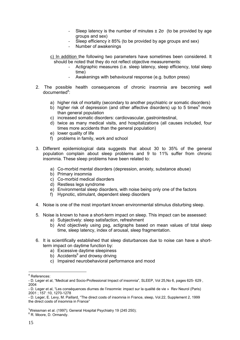- Sleep latency is the number of minutes  $\pm 2\sigma$  (to be provided by age groups and sex)
- Sleep efficiency  $\geq$  85% (to be provided by age groups and sex)
- Number of awakenings

c) In addition the following two parameters have sometimes been considered. It should be noted that they do not reflect objective measurements:

- Actigraphic measures (i.e. sleep latency, sleep efficiency, total sleep time)
- Awakenings with behavioural response (e.g. button press)
- 2. The possible health consequences of chronic insomnia are becoming well documented<sup>[4](#page-16-0)</sup>:
	- a) higher risk of mortality (secondary to another psychiatric or somatic disorders)
	- b) higher risk of depression (and other affective disorders) up to [5](#page-16-1) times<sup>5</sup> more than general population
	- c) increased somatic disorders: cardiovascular, gastrointestinal,
	- d) twice as many medical visits, and hospitalizations (all causes included, four times more accidents than the general population)
	- e) lower quality of life
	- f) problems in family, work and school
- 3. Different epidemiological data suggests that about 30 to 35% of the general population complain about sleep problems and 9 to 11% suffer from chronic insomnia. These sleep problems have been related to:
	- a) Co-morbid mental disorders (depression, anxiety, substance abuse)
	- b) Primary insomnia
	- c) Co-morbid medical disorders
	- d) Restless legs syndrome
	- e) Environmental sleep disorders, with noise being only one of the factors
	- f) Hypnotic, stimulant, dependent sleep disorders
- 4. Noise is one of the most important known environmental stimulus disturbing sleep.
- 5. Noise is known to have a short-term impact on sleep. This impact can be assessed:
	- a) Subjectively: sleep satisfaction, refreshment
	- b) And objectively using psg, actigraphs based on mean values of total sleep time, sleep latency, index of arousal, sleep fragmentation.
- 6. It is scientifically established that sleep disturbances due to noise can have a shortterm impact on daytime function by:
	- a) Excessive daytime sleepiness
	- b) Accidents<sup>[6](#page-16-2)</sup> and drowsy driving
	- c) Impaired neurobehavioral performance and mood

<span id="page-16-0"></span> 4 References:

<sup>-</sup> D. Leger et al, "Medical and Socio-Professional Impact of insomnia", SLEEP, Vol 25,No 6, pages 625- 629 , 2004

<sup>-</sup> D. Leger et al, "Les conséquences diurnes de l'insomnie: impact sur la qualité de vie » Rev Neurol (Paris) 2001 ; 157 :10, 1270-1278

<sup>-</sup> D. Leger, E. Levy, M. Paillard, "The direct costs of insomnia in France, sleep, Vol.22, Supplement 2, 1999 the direct costs of insomnia in France"

<span id="page-16-1"></span><sup>&</sup>lt;sup>5</sup>Weissman et al. (1997); General Hospital Psychiatry 19 (245 250);<br><sup>6</sup> B. Maere, D. Ormandy

<span id="page-16-2"></span> $6$  R. Moore, D. Ormandy.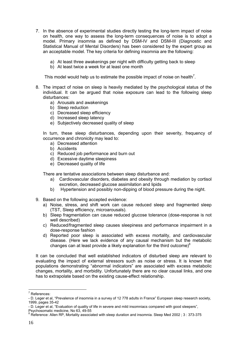- 7. In the absence of experimental studies directly testing the long-term impact of noise on health, one way to assess the long-term consequences of noise is to adopt a model. Primary insomnia as defined by DSM-IV and DSM-III (Diagnostic and Statistical Manual of Mental Disorders) has been considered by the expert group as an acceptable model. The key criteria for defining insomnia are the following:
	- a) At least three awakenings per night with difficulty getting back to sleep
	- b) At least twice a week for at least one month

This model would help us to estimate the possible impact of noise on health<sup>7</sup>[.](#page-17-0)

- 8. The impact of noise on sleep is heavily mediated by the psychological status of the individual. It can be argued that noise exposure can lead to the following sleep disturbances:
	- a) Arousals and awakenings
	- b) Sleep reduction
	- c) Decreased sleep efficiency
	- d) Increased sleep latency
	- e) Subjectively decreased quality of sleep

In turn, these sleep disturbances, depending upon their severity, frequency of occurrence and chronicity may lead to:

- a) Decreased attention
- b) Accidents
- c) Reduced job performance and burn out
- d) Excessive daytime sleepiness
- e) Decreased quality of life

There are tentative associations between sleep disturbance and:

- a) Cardiovascular disorders, diabetes and obesity through mediation by cortisol excretion, decreased glucose assimilation and lipids
- b) Hypertension and possibly non-dipping of blood pressure during the night.
- 9. Based on the following accepted evidence:
	- a) Noise, stress, and shift work can cause reduced sleep and fragmented sleep (TST, Sleep efficiency, microarousals).
	- b) Sleep fragmentation can cause reduced glucose tolerance (dose-response is not well described)
	- c) Reduced/fragmented sleep causes sleepiness and performance impairment in a dose-response fashion
	- d) Reported poor sleep is associated with excess mortality, and cardiovascular disease. (Here we lack evidence of any causal mechanism but the metabolic changes can at least provide a likely explanation for the third outcome) $^8$  $^8$

It can be concluded that well established indicators of disturbed sleep are relevant to evaluating the impact of external stressors such as noise or stress. It is known that populations demonstrating "abnormal indicators" are associated with excess metabolic changes, mortality, and morbidity. Unfortunately there are no clear causal links, and one has to extrapolate based on the existing cause-effect relationship.

 7 References:

<span id="page-17-0"></span><sup>-</sup> D. Leger et al, "Prevalence of insomnia in a survey of 12 778 adults in France" European sleep research society, 1999, pages 35-42

<sup>-</sup> D. Leger et al, "Evaluation of quality of life in severe and mild insomniacs compared with good sleepers",

<span id="page-17-1"></span>Psychosomatic medicine, No 63, 49-55<br><sup>8</sup> Reference: Allen RP, Mortality associated with sleep duration and insomnia. Sleep Med 2002 ; 3 : 373-375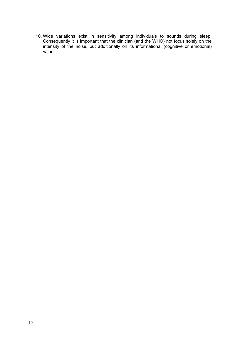10. Wide variations exist in sensitivity among individuals to sounds during sleep. Consequently it is important that the clinician (and the WHO) not focus solely on the intensity of the noise, but additionally on its informational (cognitive or emotional) value.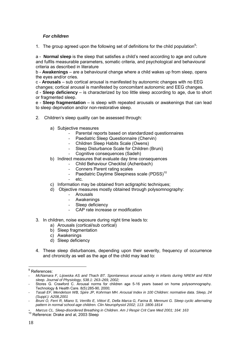## *For children*

1. The group agreed upon the following set of definitions for the child population<sup>9</sup>[:](#page-19-0)

a - **Normal sleep** is the sleep that satisfies a child's need according to age and culture and fulfils measurable parameters, somatic criteria, and psychological and behavioural criteria as described in literature

b - **Awakenings** – are a behavioural change where a child wakes up from sleep, opens the eyes and/or cries.

c - **Arousals** – sub cortical arousal is manifested by autonomic changes with no EEG changes; cortical arousal is manifested by concomitant autonomic and EEG changes. d - **Sleep deficiency** – is characterized by too little sleep according to age, due to short or fragmented sleep.

e - **Sleep fragmentation** – is sleep with repeated arousals or awakenings that can lead to sleep deprivation and/or non-restorative sleep.

- 2. Children's sleep quality can be assessed through:
	- a) Subjective measures
		- Parental reports based on standardized questionnaires
		- Paediatric Sleep Questionnaire (Chervin)
		- Children Sleep Habits Scale (Owens)
		- Sleep Disturbance Scale for Children (Bruni)
		- Cognitive consequences (Sadeh)
	- b) Indirect measures that evaluate day time consequences
		- Child Behaviour Checklist (Achenbach)
		- Conners Parent rating scales
		- Paediatric Daytime Sleepiness scale (PDSS)<sup>[10](#page-19-1)</sup>
		- etc.
	- c) Information may be obtained from actigraphic techniques;
	- d) Objective measures mostly obtained through polysomnography:
		- **Arousals** 
			- **Awakenings**
			- Sleep deficiency
			- CAP rate increase or modification
- 3. In children, noise exposure during night time leads to:
	- a) Arousals (cortical/sub cortical)
	- b) Sleep fragmentation
	- c) Awakenings
	- d) Sleep deficiency
- 4. These sleep disturbances, depending upon their severity, frequency of occurrence and chronicity as well as the age of the child may lead to:

<span id="page-19-0"></span> 9 References:

<sup>-</sup> *McNamara F, Lijowska AS and Thach BT. Spontaneous arousal activity in infants during NREM and REM sleep. Journal of Physiology, 538.1: 263–269, 2002;* 

<sup>-</sup> Stores G. Crawford C. Arousal norms for children age 5-16 years based on home polysomnography. Technology & Health Care. 8(5):285-90, 2000;

<sup>-</sup> *Tasali EF, Mendelson WB, Spire JP, Kohrman MH. Arousal Index in 100 Children: normative data. Sleep, 24 (Suppl.): A208,2001* 

<sup>-</sup> *Bruni O, Ferri R, Miano S, Verrillo E, Vittori E, Della Marca G, Farina B, Mennuni G. Sleep cyclic alternating pattern in normal school-age children. Clin Neurophysiol 2002; 113: 1806-1814* 

<span id="page-19-1"></span><sup>-</sup> *Marcus CL. Sleep-disordered Breathing in Children. Am J Respir Crit Care Med 2001; 164: 163* <sup>10</sup> Reference: Drake and al, 2003 Sleep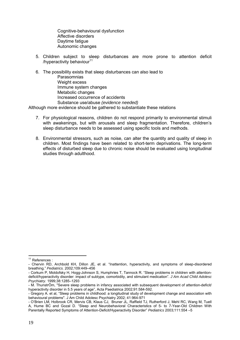Cognitive-behavioural dysfunction Affective disorders Daytime fatigue Autonomic changes

- 5. Children subject to sleep disturbances are more prone to attention deficit /hyperactivity behaviour $11$
- 6. The possibility exists that sleep disturbances can also lead to Parasomnias Weight excess Immune system changes Metabolic changes Increased occurrence of accidents Substance use/abuse *(evidence needed)*

Although more evidence should be gathered to substantiate these relations

- 7. For physiological reasons, children do not respond primarily to environmental stimuli with awakenings, but with arousals and sleep fragmentation. Therefore, children's sleep disturbance needs to be assessed using specific tools and methods.
- 8. Environmental stressors, such as noise, can alter the quantity and quality of sleep in children. Most findings have been related to short-term deprivations. The long-term effects of disturbed sleep due to chronic noise should be evaluated using longitudinal studies through adulthood.

 $\overline{a}$  $11$  References :

<span id="page-20-0"></span><sup>-</sup> Chervin RD, Archbold KH, Dillon JE, et al. "Inattention, hyperactivity, and symptoms of sleep-disordered breathing." *Pediatrics.* 2002;109:449–456

<sup>-</sup> Corkum P, Moldofsky H, Hogg-Johnson S, Humphries T, Tannock R. "Sleep problems in children with attentiondeficit/hyperactivity disorder: impact of subtype, comorbidity, and stimulant medication". *J Am Acad Child Adolesc Psychiatry.* 1999;38:1285–1293

<sup>-</sup> M. ThunstrÖm, "Severe sleep problems in infancy associated with subsequent development of attention-deficit/ hyperactivity disorder in 5.5 years of age", Acta Paediatrica 2002;91:584-592.

<sup>-</sup> Gregory A. et al, "Sleep problems in childhood: a longitudinal study of development change and association with behavioural problems". J Am Child Adolesc Psychiatry 2002; 41:964-971

<sup>-</sup> O'Brien LM, Holbrook CR, Mervis CB, Klaus CJ, Bruner JL, Raffield TJ, Rutherford J, Mehl RC, Wang M, Tuell A, Hume BC and Gozal D. "Sleep and Neurobehavioral Characteristics of 5- to 7-Year-Old Children With Parentally Reported Symptoms of Attention-Deficit/Hyperactivity Disorder" *Pediatrics* 2003;111:554 –5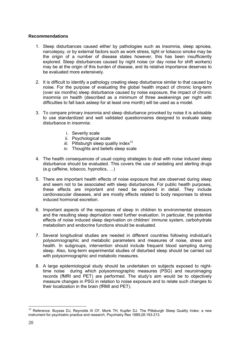#### **Recommendations**

- 1. Sleep disturbances caused either by pathologies such as insomnia, sleep apnoea, narcolepsy, or by external factors such as work stress, light or tobacco smoke may be the origin of a number of disease states however, this has been insufficiently explored. Sleep disturbances caused by night noise (or day noise for shift workers) may be at the origin of this burden of disease, and its relative importance deserves to be evaluated more extensively.
- 2. It is difficult to identify a pathology creating sleep disturbance similar to that caused by noise. For the purpose of evaluating the global health impact of chronic long-term (over six months) sleep disturbance caused by noise exposure, the impact of chronic insomnia on health (described as a minimum of three awakenings per night with difficulties to fall back asleep for at least one month) will be used as a model.
- 3. To compare primary insomnia and sleep disturbance provoked by noise it is advisable to use standardized and well validated questionnaires designed to evaluate sleep disturbance in insomnia:
	- i. Severity scale
	- ii. Psychological scale
	- *iii.* Pittsburgh sleep quality index<sup>[12](#page-21-0)</sup>
	- *iv.* Thoughts and beliefs sleep scale
- 4. The health consequences of usual coping strategies to deal with noise induced sleep disturbance should be evaluated. This covers the use of sedating and alerting drugs (e.g caffeine, tobacco, hypnotics, …)
- 5. There are important health effects of noise exposure that are observed during sleep and seem not to be associated with sleep disturbances. For public health purposes, these effects are important and need be explored in detail. They include cardiovascular diseases, and are mostly effects related to body responses to stress induced hormonal excretion.
- 6. Important aspects of the responses of sleep in children to environmental stressors and the resulting sleep deprivation need further evaluation. In particular, the potential effects of noise induced sleep deprivation on children' immune system, carbohydrate metabolism and endocrine functions should be evaluated.
- 7. Several longitudinal studies are needed in different countries following individual's polysomnographic and metabolic parameters and measures of noise, stress and health. In subgroups, intervention should include frequent blood sampling during sleep. Also, long-term experimental studies of disturbed sleep should be carried out with polysomnographic and metabolic measures.
- 8. A large epidemiological study should be undertaken on subjects exposed to nighttime noise during which polysomnographic measures (PSG) and neuroimaging records (fMRI and PET) are performed. The study's aim would be to objectively measure changes in PSG in relation to noise exposure and to relate such changes to their localization in the brain (fRMI and PET).

 $\overline{a}$ 

<span id="page-21-0"></span> $12$  Reference: Buysse DJ, Reynolds III CF, Monk TH, Kupfer DJ. The Pittsburgh Sleep Quality Index: a new instrument for psychiatric practice and research. Psychiatry Res 1989;28:193-213.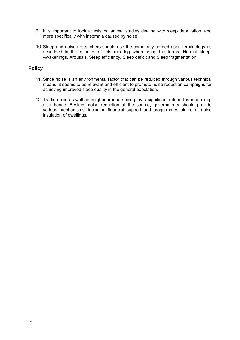- 9. It is important to look at existing animal studies dealing with sleep deprivation, and more specifically with insomnia caused by noise
- 10.Sleep and noise researchers should use the commonly agreed upon terminology as described in the minutes of this meeting when using the terms: Normal sleep, Awakenings, Arousals, Sleep efficiency, Sleep deficit and Sleep fragmentation.

## **Policy**

- 11. Since noise is an environmental factor that can be reduced through various technical means, it seems to be relevant and efficient to promote noise reduction campaigns for achieving improved sleep quality in the general population.
- 12. Traffic noise as well as neighbourhood noise play a significant role in terms of sleep disturbance. Besides noise reduction at the source, governments should provide various mechanisms, including financial support and programmes aimed at noise insulation of dwellings.